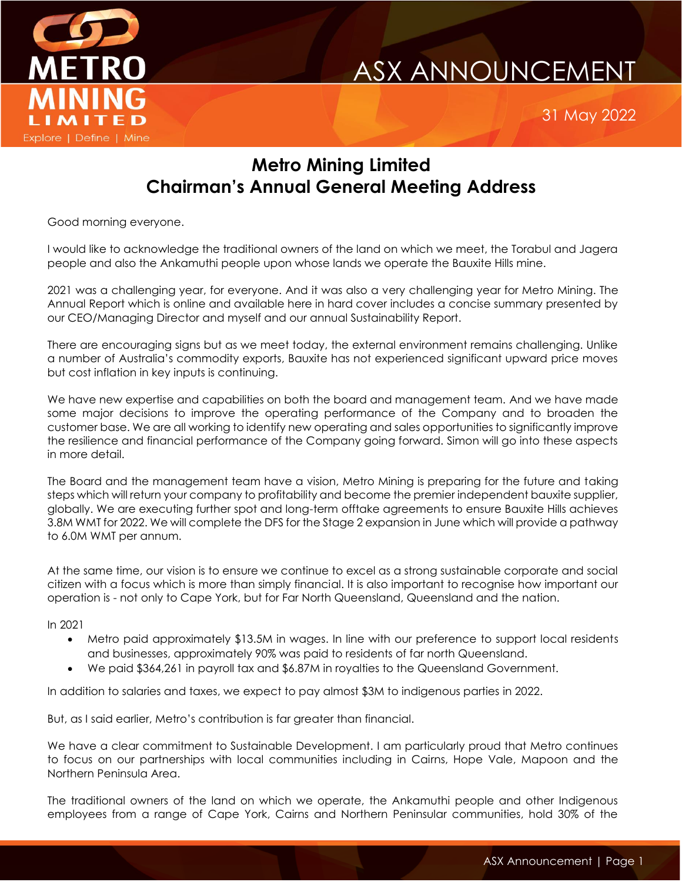

## ASX ANNOUNCEMENT

31 May 2022

## **Metro Mining Limited Chairman's Annual General Meeting Address**

Good morning everyone.

I would like to acknowledge the traditional owners of the land on which we meet, the Torabul and Jagera people and also the Ankamuthi people upon whose lands we operate the Bauxite Hills mine.

2021 was a challenging year, for everyone. And it was also a very challenging year for Metro Mining. The Annual Report which is online and available here in hard cover includes a concise summary presented by our CEO/Managing Director and myself and our annual Sustainability Report.

There are encouraging signs but as we meet today, the external environment remains challenging. Unlike a number of Australia's commodity exports, Bauxite has not experienced significant upward price moves but cost inflation in key inputs is continuing.

We have new expertise and capabilities on both the board and management team. And we have made some major decisions to improve the operating performance of the Company and to broaden the customer base. We are all working to identify new operating and sales opportunities to significantly improve the resilience and financial performance of the Company going forward. Simon will go into these aspects in more detail.

The Board and the management team have a vision, Metro Mining is preparing for the future and taking steps which will return your company to profitability and become the premier independent bauxite supplier, globally. We are executing further spot and long-term offtake agreements to ensure Bauxite Hills achieves 3.8M WMT for 2022. We will complete the DFS for the Stage 2 expansion in June which will provide a pathway to 6.0M WMT per annum.

At the same time, our vision is to ensure we continue to excel as a strong sustainable corporate and social citizen with a focus which is more than simply financial. It is also important to recognise how important our operation is - not only to Cape York, but for Far North Queensland, Queensland and the nation.

In 2021

- Metro paid approximately \$13.5M in wages. In line with our preference to support local residents and businesses, approximately 90% was paid to residents of far north Queensland.
- We paid \$364,261 in payroll tax and \$6.87M in royalties to the Queensland Government.

In addition to salaries and taxes, we expect to pay almost \$3M to indigenous parties in 2022.

But, as I said earlier, Metro's contribution is far greater than financial.

We have a clear commitment to Sustainable Development. I am particularly proud that Metro continues to focus on our partnerships with local communities including in Cairns, Hope Vale, Mapoon and the Northern Peninsula Area.

The traditional owners of the land on which we operate, the Ankamuthi people and other Indigenous employees from a range of Cape York, Cairns and Northern Peninsular communities, hold 30% of the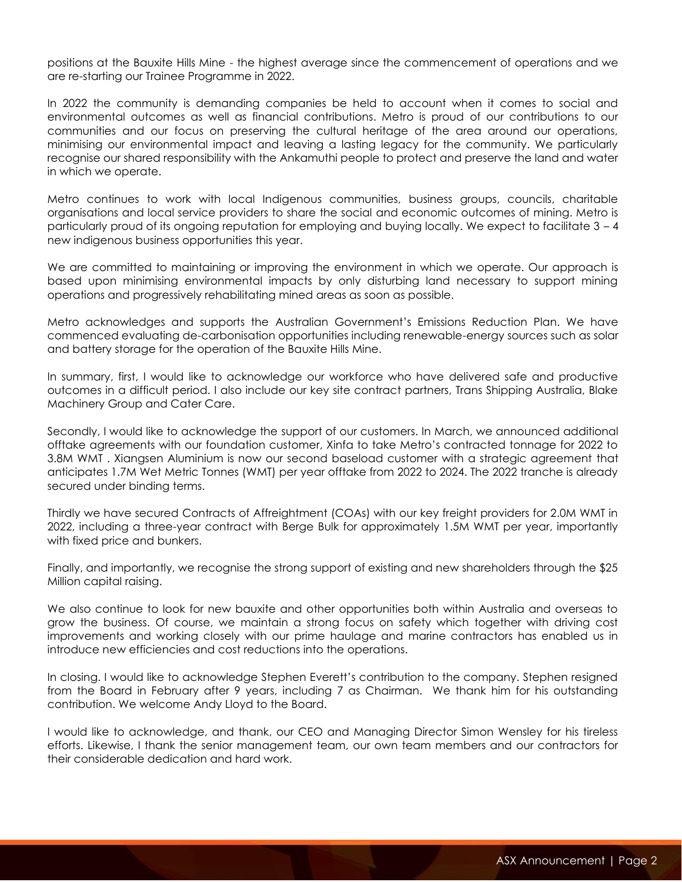positions at the Bauxite Hills Mine - the highest average since the commencement of operations and we are re-starting our Trainee Programme in 2022.

In 2022 the community is demanding companies be held to account when it comes to social and environmental outcomes as well as financial contributions. Metro is proud of our contributions to our communities and our focus on preserving the cultural heritage of the area around our operations, minimising our environmental impact and leaving a lasting legacy for the community. We particularly recognise our shared responsibility with the Ankamuthi people to protect and preserve the land and water in which we operate.

Metro continues to work with local Indigenous communities, business groups, councils, charitable organisations and local service providers to share the social and economic outcomes of mining. Metro is particularly proud of its ongoing reputation for employing and buying locally. We expect to facilitate 3 – 4 new indigenous business opportunities this year.

We are committed to maintaining or improving the environment in which we operate. Our approach is based upon minimising environmental impacts by only disturbing land necessary to support mining operations and progressively rehabilitating mined areas as soon as possible.

Metro acknowledges and supports the Australian Government's Emissions Reduction Plan. We have commenced evaluating de-carbonisation opportunities including renewable-energy sources such as solar and battery storage for the operation of the Bauxite Hills Mine.

In summary, first, I would like to acknowledge our workforce who have delivered safe and productive outcomes in a difficult period. I also include our key site contract partners, Trans Shipping Australia, Blake Machinery Group and Cater Care.

Secondly, I would like to acknowledge the support of our customers. In March, we announced additional offtake agreements with our foundation customer, Xinfa to take Metro's contracted tonnage for 2022 to 3.8M WMT . Xiangsen Aluminium is now our second baseload customer with a strategic agreement that anticipates 1.7M Wet Metric Tonnes (WMT) per year offtake from 2022 to 2024. The 2022 tranche is already secured under binding terms.

Thirdly we have secured Contracts of Affreightment (COAs) with our key freight providers for 2.0M WMT in 2022, including a three-year contract with Berge Bulk for approximately 1.5M WMT per year, importantly with fixed price and bunkers.

Finally, and importantly, we recognise the strong support of existing and new shareholders through the \$25 Million capital raising.

We also continue to look for new bauxite and other opportunities both within Australia and overseas to grow the business. Of course, we maintain a strong focus on safety which together with driving cost improvements and working closely with our prime haulage and marine contractors has enabled us in introduce new efficiencies and cost reductions into the operations.

In closing. I would like to acknowledge Stephen Everett's contribution to the company. Stephen resigned from the Board in February after 9 years, including 7 as Chairman. We thank him for his outstanding contribution. We welcome Andy Lloyd to the Board.

I would like to acknowledge, and thank, our CEO and Managing Director Simon Wensley for his tireless efforts. Likewise, I thank the senior management team, our own team members and our contractors for their considerable dedication and hard work.